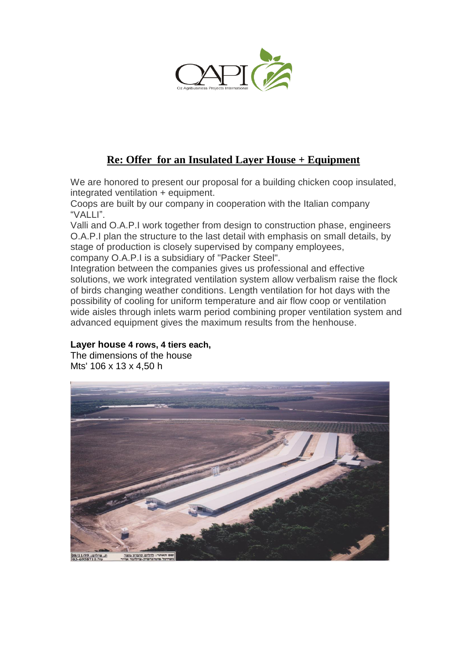

# **Re: Offer for an Insulated Layer House + Equipment**

We are honored to present our proposal for a building chicken coop insulated, integrated ventilation + equipment.

Coops are built by our company in cooperation with the Italian company "VALLI".

Valli and O.A.P.I work together from design to construction phase, engineers O.A.P.I plan the structure to the last detail with emphasis on small details, by stage of production is closely supervised by company employees, company O.A.P.I is a subsidiary of "Packer Steel".

Integration between the companies gives us professional and effective solutions, we work integrated ventilation system allow verbalism raise the flock of birds changing weather conditions. Length ventilation for hot days with the possibility of cooling for uniform temperature and air flow coop or ventilation wide aisles through inlets warm period combining proper ventilation system and advanced equipment gives the maximum results from the henhouse.

## **Layer house 4 rows, 4 tiers each,**

The dimensions of the house Mts' 106 x 13 x 4,50 h

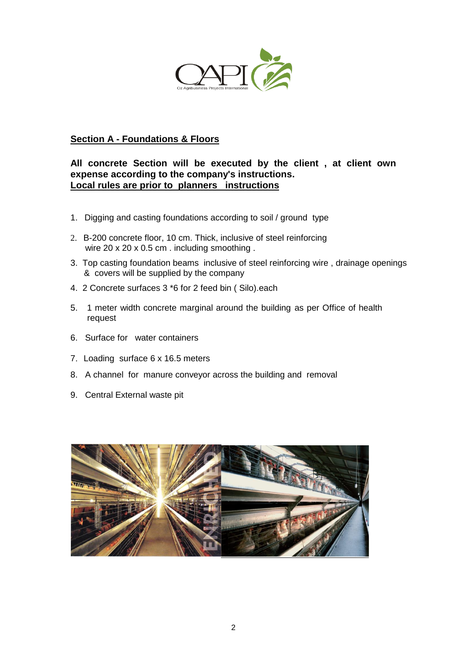

# **Section A - Foundations & Floors**

## **All concrete Section will be executed by the client , at client own expense according to the company's instructions. Local rules are prior to planners instructions**

- 1. Digging and casting foundations according to soil / ground type
- 2. B-200 concrete floor, 10 cm. Thick, inclusive of steel reinforcing wire 20 x 20 x 0.5 cm . including smoothing .
- 3. Top casting foundation beams inclusive of steel reinforcing wire , drainage openings & covers will be supplied by the company
- 4. 2 Concrete surfaces 3 \*6 for 2 feed bin ( Silo).each
- 5. 1 meter width concrete marginal around the building as per Office of health request
- 6. Surface for water containers
- 7. Loading surface 6 x 16.5 meters
- 8. A channel for manure conveyor across the building and removal
- 9. Central External waste pit

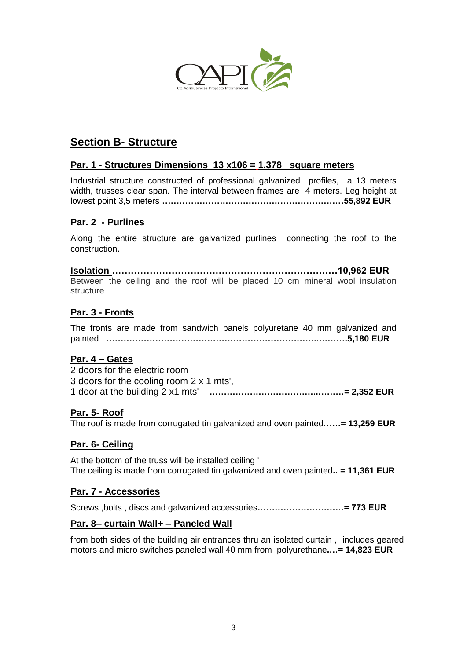

# **Section B- Structure**

## **Par. 1 - Structures Dimensions 13 x106 = 1,378 square meters**

Industrial structure constructed of professional galvanized profiles, a 13 meters width, trusses clear span. The interval between frames are 4 meters. Leg height at lowest point 3,5 meters **………………………………………………………55,892 EUR**

## **Par. 2 - Purlines**

Along the entire structure are galvanized purlines connecting the roof to the construction.

**Isolation ………………………………………………………………10,962 EUR** Between the ceiling and the roof will be placed 10 cm mineral wool insulation structure

## **Par. 3 - Fronts**

The fronts are made from sandwich panels polyuretane 40 mm galvanized and painted **………………………………………………………………..……….5,180 EUR**

## **Par. 4 – Gates**

| 2 doors for the electric room            |  |
|------------------------------------------|--|
| 3 doors for the cooling room 2 x 1 mts', |  |
| 1 door at the building 2 x1 mts'         |  |

## **Par. 5- Roof**

The roof is made from corrugated tin galvanized and oven painted…**…= 13,259 EUR**

## **Par. 6- Ceiling**

At the bottom of the truss will be installed ceiling ' The ceiling is made from corrugated tin galvanized and oven painted**.. = 11,361 EUR**

#### **Par. 7 - Accessories**

Screws ,bolts , discs and galvanized accessories**…………………………= 773 EUR**

#### **Par. 8– curtain Wall+ – Paneled Wall**

from both sides of the building air entrances thru an isolated curtain , includes geared motors and micro switches paneled wall 40 mm from polyurethane**.…= 14,823 EUR**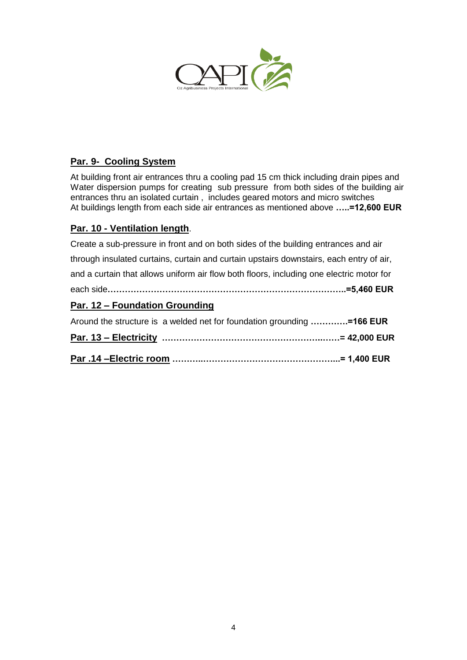

# **Par. 9- Cooling System**

At building front air entrances thru a cooling pad 15 cm thick including drain pipes and Water dispersion pumps for creating sub pressure from both sides of the building air entrances thru an isolated curtain , includes geared motors and micro switches At buildings length from each side air entrances as mentioned above **…..=12,600 EUR**

# **Par. 10 - Ventilation length**.

| Create a sub-pressure in front and on both sides of the building entrances and air       |
|------------------------------------------------------------------------------------------|
| through insulated curtains, curtain and curtain upstairs downstairs, each entry of air,  |
| and a curtain that allows uniform air flow both floors, including one electric motor for |
|                                                                                          |
| Par. 12 – Foundation Grounding                                                           |
| Around the structure is a welded net for foundation grounding =166 EUR                   |
|                                                                                          |
|                                                                                          |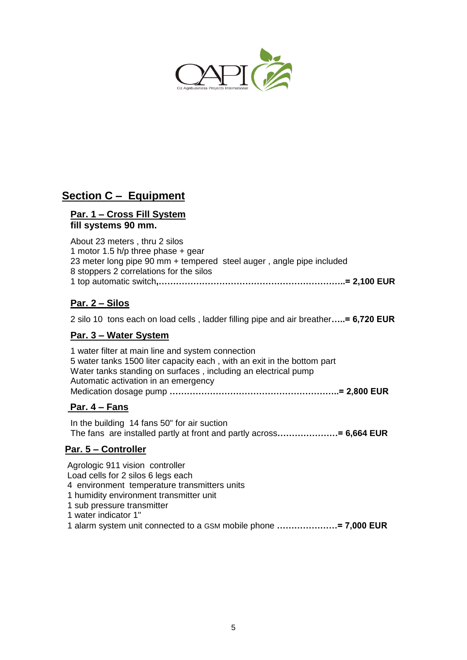

# **Section C – Equipment**

#### **Par. 1 – Cross Fill System fill systems 90 mm.**

| About 23 meters, thru 2 silos                                        |  |
|----------------------------------------------------------------------|--|
| 1 motor 1.5 h/p three phase $+$ gear                                 |  |
| 23 meter long pipe 90 mm + tempered steel auger, angle pipe included |  |
| 8 stoppers 2 correlations for the silos                              |  |
|                                                                      |  |

# **Par. 2 – Silos**

2 silo 10 tons each on load cells , ladder filling pipe and air breather**…..= 6,720 EUR**

## **Par. 3 – Water System**

| 1 water filter at main line and system connection                       |  |
|-------------------------------------------------------------------------|--|
| 5 water tanks 1500 liter capacity each, with an exit in the bottom part |  |
| Water tanks standing on surfaces, including an electrical pump          |  |
| Automatic activation in an emergency                                    |  |
|                                                                         |  |

## **Par. 4 – Fans**

In the building 14 fans 50" for air suction The fans are installed partly at front and partly across**…………………= 6,664 EUR**

# **Par. 5 – Controller**

Agrologic 911 vision controller Load cells for 2 silos 6 legs each 4 environment temperature transmitters units 1 humidity environment transmitter unit 1 sub pressure transmitter 1 water indicator 1" 1 alarm system unit connected to a GSM mobile phone **…………………= 7,000 EUR**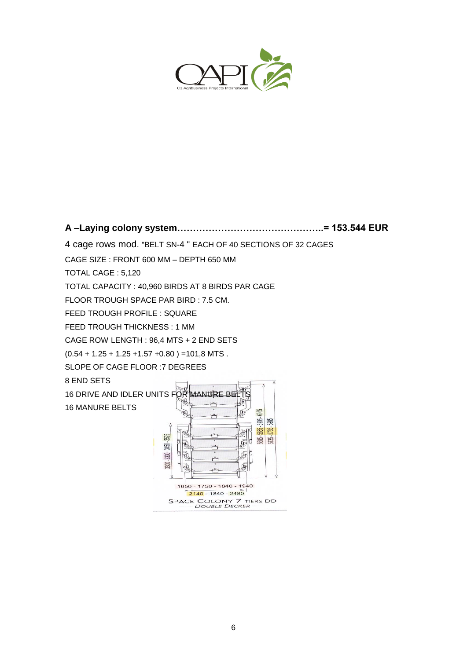

**A –Laying colony system………………………………………..= 153.544 EUR**

4 cage rows mod. "BELT SN-4 " EACH OF 40 SECTIONS OF 32 CAGES

CAGE SIZE : FRONT 600 MM – DEPTH 650 MM

TOTAL CAGE : 5,120

TOTAL CAPACITY : 40,960 BIRDS AT 8 BIRDS PAR CAGE

FLOOR TROUGH SPACE PAR BIRD : 7.5 CM.

FEED TROUGH PROFILE : SQUARE

FEED TROUGH THICKNESS : 1 MM

CAGE ROW LENGTH : 96,4 MTS + 2 END SETS

 $(0.54 + 1.25 + 1.25 + 1.57 + 0.80) = 101,8$  MTS.

SLOPE OF CAGE FLOOR :7 DEGREES

8 END SETS

16 MANURE BELTS

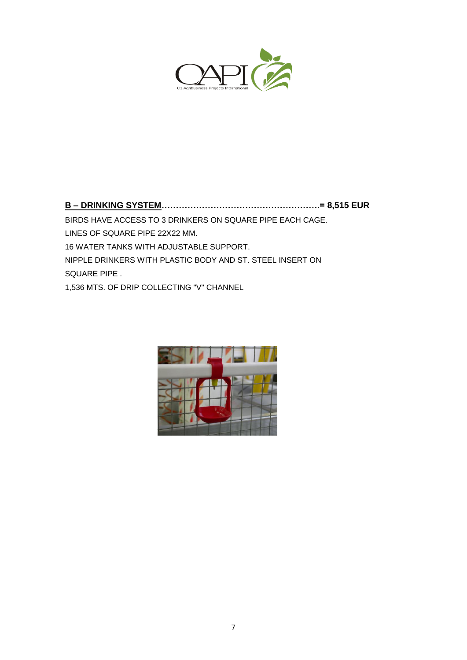

**B – DRINKING SYSTEM……………………………………………….= 8,515 EUR** BIRDS HAVE ACCESS TO 3 DRINKERS ON SQUARE PIPE EACH CAGE. LINES OF SQUARE PIPE 22X22 MM. 16 WATER TANKS WITH ADJUSTABLE SUPPORT. NIPPLE DRINKERS WITH PLASTIC BODY AND ST. STEEL INSERT ON SQUARE PIPE . 1,536 MTS. OF DRIP COLLECTING "V" CHANNEL

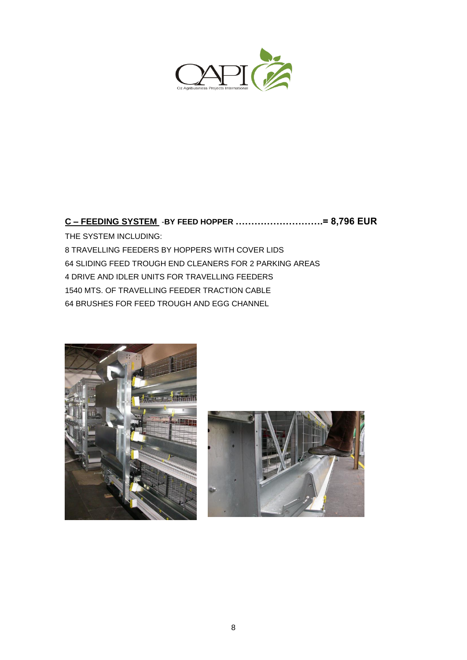

# **C – FEEDING SYSTEM** -**BY FEED HOPPER ……………………….= 8,796 EUR**

THE SYSTEM INCLUDING: TRAVELLING FEEDERS BY HOPPERS WITH COVER LIDS SLIDING FEED TROUGH END CLEANERS FOR 2 PARKING AREAS DRIVE AND IDLER UNITS FOR TRAVELLING FEEDERS MTS. OF TRAVELLING FEEDER TRACTION CABLE BRUSHES FOR FEED TROUGH AND EGG CHANNEL



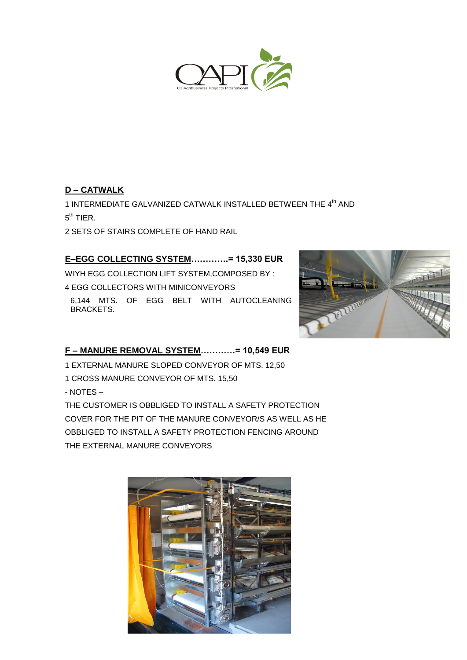

# **D – CATWALK**

1 INTERMEDIATE GALVANIZED CATWALK INSTALLED BETWEEN THE 4<sup>th</sup> AND  $5^{\text{th}}$  TIER.

2 SETS OF STAIRS COMPLETE OF HAND RAIL

# **E–EGG COLLECTING SYSTEM………….= 15,330 EUR**

WIYH EGG COLLECTION LIFT SYSTEM,COMPOSED BY : 4 EGG COLLECTORS WITH MINICONVEYORS

6,144 MTS. OF EGG BELT WITH AUTOCLEANING BRACKETS.



# **F – MANURE REMOVAL SYSTEM…………= 10,549 EUR**

1 EXTERNAL MANURE SLOPED CONVEYOR OF MTS. 12,50

1 CROSS MANURE CONVEYOR OF MTS. 15,50

- NOTES –

THE CUSTOMER IS OBBLIGED TO INSTALL A SAFETY PROTECTION COVER FOR THE PIT OF THE MANURE CONVEYOR/S AS WELL AS HE OBBLIGED TO INSTALL A SAFETY PROTECTION FENCING AROUND THE EXTERNAL MANURE CONVEYORS

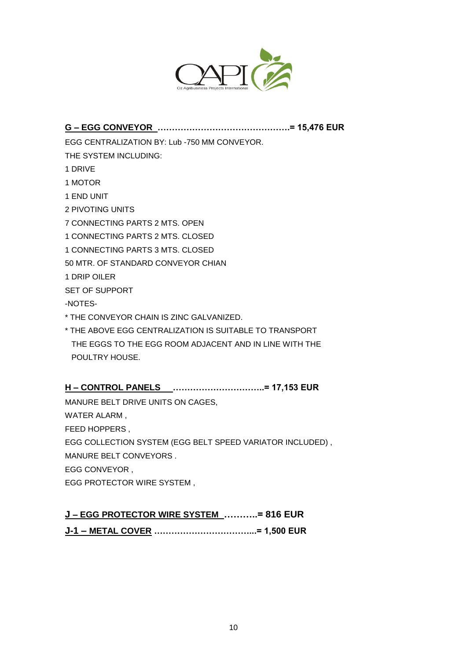

# **G – EGG CONVEYOR ……………………………………….= 15,476 EUR**

EGG CENTRALIZATION BY: Lub -750 MM CONVEYOR.

THE SYSTEM INCLUDING:

- 1 DRIVE
- 1 MOTOR
- 1 END UNIT
- 2 PIVOTING UNITS
- 7 CONNECTING PARTS 2 MTS. OPEN
- 1 CONNECTING PARTS 2 MTS. CLOSED
- 1 CONNECTING PARTS 3 MTS. CLOSED
- 50 MTR. OF STANDARD CONVEYOR CHIAN
- 1 DRIP OILER
- SET OF SUPPORT
- -NOTES-
- \* THE CONVEYOR CHAIN IS ZINC GALVANIZED.
- \* THE ABOVE EGG CENTRALIZATION IS SUITABLE TO TRANSPORT THE EGGS TO THE EGG ROOM ADJACENT AND IN LINE WITH THE POULTRY HOUSE.

# **H – CONTROL PANELS …………………………..= 17,153 EUR**

MANURE BELT DRIVE UNITS ON CAGES, WATER ALARM , FEED HOPPERS , EGG COLLECTION SYSTEM (EGG BELT SPEED VARIATOR INCLUDED) , MANURE BELT CONVEYORS . EGG CONVEYOR , EGG PROTECTOR WIRE SYSTEM ,

# **J – EGG PROTECTOR WIRE SYSTEM ………..= 816 EUR**

**J-1 – METAL COVER ……………………………...= 1,500 EUR**